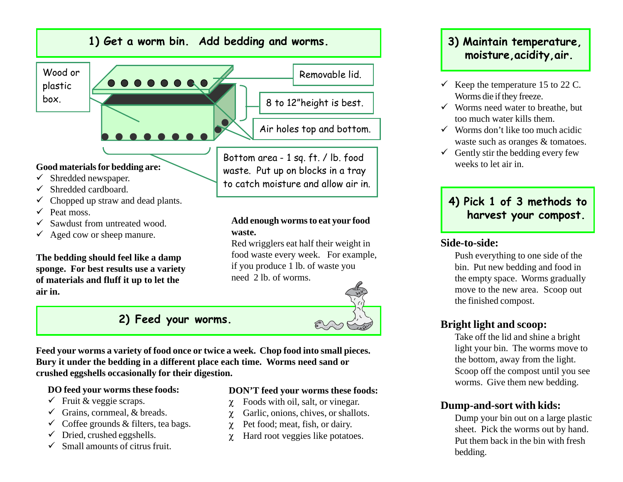

 $\checkmark$  Aged cow or sheep manure.

**The bedding should feel like a damp sponge. For best results use a variety of materials and fluff it up to let the air in.**

### **waste.**

Red wrigglers eat half their weight in food waste every week. For example, if you produce 1 lb. of waste you need 2 lb. of worms.



**Feed your worms a variety of food once or twice a week. Chop food into small pieces. Bury it under the bedding in a different place each time. Worms need sand or crushed eggshells occasionally for their digestion.**

#### **DO feed your worms these foods:**

- $\checkmark$  Fruit & veggie scraps.
- $\checkmark$  Grains, cornmeal, & breads.
- $\checkmark$  Coffee grounds & filters, tea bags.
- $\checkmark$ Dried, crushed eggshells.
- $\checkmark$  Small amounts of citrus fruit.

#### **DON'T feed your worms these foods:**

- χ Foods with oil, salt, or vinegar.
- χ Garlic, onions, chives, or shallots.
- χ Pet food; meat, fish, or dairy.
- χ Hard root veggies like potatoes.

## **moisture,acidity,air.**

- $\checkmark$  Keep the temperature 15 to 22 C. Worms die if they freeze.
- $\checkmark$  Worms need water to breathe, but too much water kills them.
- $\checkmark$  Worms don't like too much acidic waste such as oranges & tomatoes.
- $\checkmark$  Gently stir the bedding every few weeks to let air in.

#### **4) Pick 1 of 3 methods to harvest your compost.**

#### **Side-to-side:**

Push everything to one side of the bin. Put new bedding and food in the empty space. Worms gradually move to the new area. Scoop out the finished compost.

#### **Bright light and scoop:**

Take off the lid and shine a bright light your bin. The worms move to the bottom, away from the light. Scoop off the compost until you see worms. Give them new bedding.

#### **Dump-and-sort with kids:**

Dump your bin out on a large plastic sheet. Pick the worms out by hand. Put them back in the bin with fresh bedding.